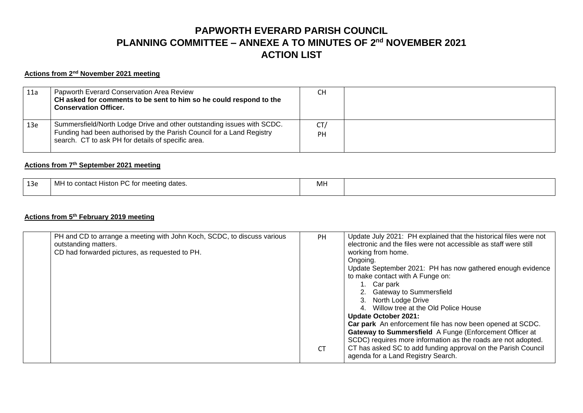# **PAPWORTH EVERARD PARISH COUNCIL PLANNING COMMITTEE – ANNEXE A TO MINUTES OF 2 nd NOVEMBER 2021 ACTION LIST**

#### **Actions from 2 nd November 2021 meeting**

| 11a | Papworth Everard Conservation Area Review<br>CH asked for comments to be sent to him so he could respond to the<br><b>Conservation Officer.</b>                                                       | CН               |  |
|-----|-------------------------------------------------------------------------------------------------------------------------------------------------------------------------------------------------------|------------------|--|
| 13e | Summersfield/North Lodge Drive and other outstanding issues with SCDC.<br>Funding had been authorised by the Parish Council for a Land Registry<br>search. CT to ask PH for details of specific area. | CT/<br><b>PH</b> |  |

### **Actions from 7 th September 2021 meeting**

| ە 13<br>-- | MH to contact Histon PC for meeting dates. | Mh |  |
|------------|--------------------------------------------|----|--|
|            |                                            |    |  |

### **Actions from 5 th February 2019 meeting**

| PH and CD to arrange a meeting with John Koch, SCDC, to discuss various<br>outstanding matters.<br>CD had forwarded pictures, as requested to PH. | <b>PH</b><br><b>CT</b> | Update July 2021: PH explained that the historical files were not<br>electronic and the files were not accessible as staff were still<br>working from home.<br>Ongoing.<br>Update September 2021: PH has now gathered enough evidence<br>to make contact with A Funge on:<br>1. Car park<br>2. Gateway to Summersfield<br>3. North Lodge Drive<br>4. Willow tree at the Old Police House<br><b>Update October 2021:</b><br>Car park An enforcement file has now been opened at SCDC.<br>Gateway to Summersfield A Funge (Enforcement Officer at<br>SCDC) requires more information as the roads are not adopted.<br>CT has asked SC to add funding approval on the Parish Council<br>agenda for a Land Registry Search. |
|---------------------------------------------------------------------------------------------------------------------------------------------------|------------------------|-------------------------------------------------------------------------------------------------------------------------------------------------------------------------------------------------------------------------------------------------------------------------------------------------------------------------------------------------------------------------------------------------------------------------------------------------------------------------------------------------------------------------------------------------------------------------------------------------------------------------------------------------------------------------------------------------------------------------|
|---------------------------------------------------------------------------------------------------------------------------------------------------|------------------------|-------------------------------------------------------------------------------------------------------------------------------------------------------------------------------------------------------------------------------------------------------------------------------------------------------------------------------------------------------------------------------------------------------------------------------------------------------------------------------------------------------------------------------------------------------------------------------------------------------------------------------------------------------------------------------------------------------------------------|